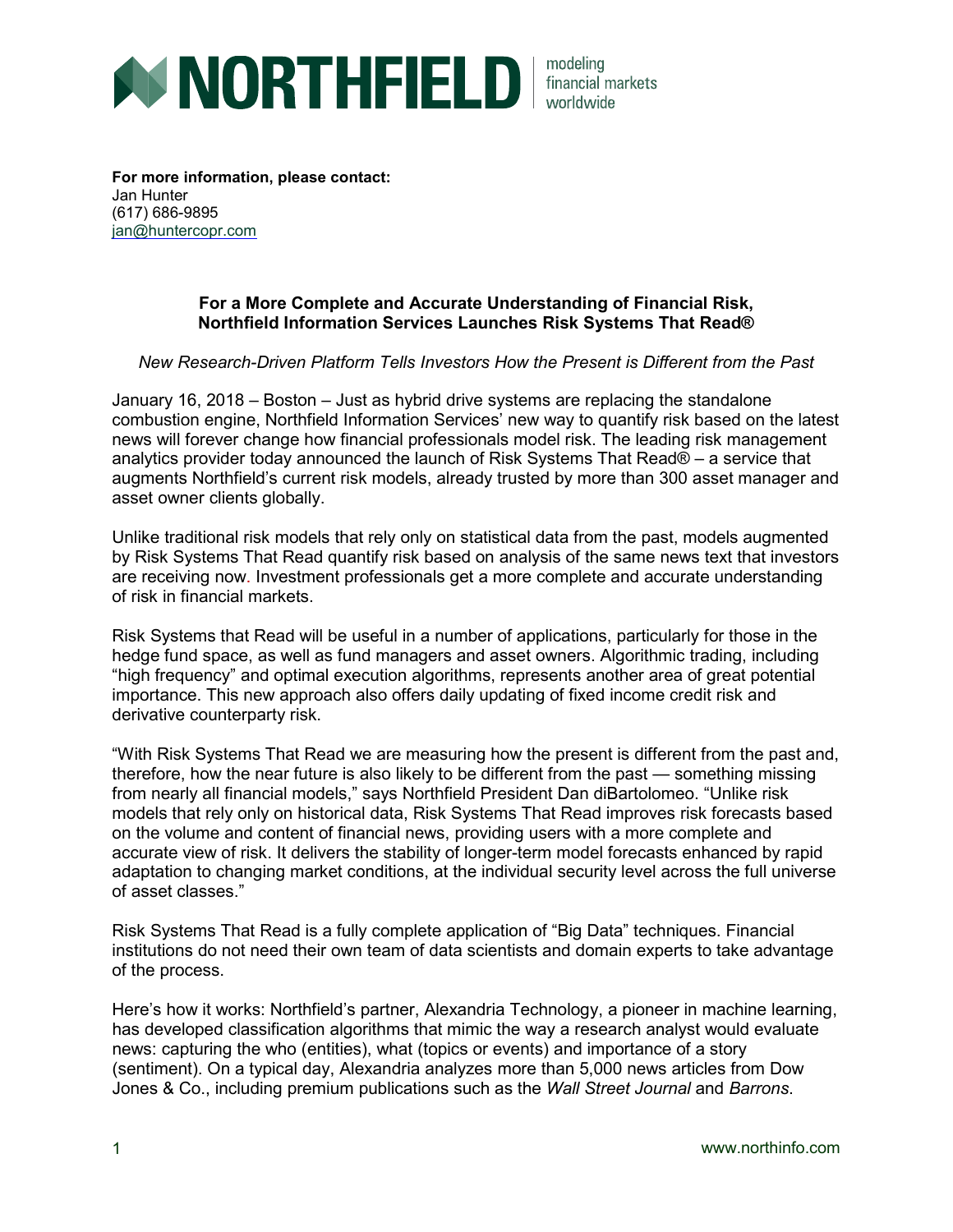

**For more information, please contact:** Jan Hunter (617) 686-9895 [jan@huntercopr.com](mailto:jan@huntercopr.com)

## **For a More Complete and Accurate Understanding of Financial Risk, Northfield Information Services Launches Risk Systems That Read®**

## *New Research-Driven Platform Tells Investors How the Present is Different from the Past*

January 16, 2018 – Boston – Just as hybrid drive systems are replacing the standalone combustion engine, Northfield Information Services' new way to quantify risk based on the latest news will forever change how financial professionals model risk. The leading risk management analytics provider today announced the launch of Risk Systems That Read® – a service that augments Northfield's current risk models, already trusted by more than 300 asset manager and asset owner clients globally.

Unlike traditional risk models that rely only on statistical data from the past, models augmented by Risk Systems That Read quantify risk based on analysis of the same news text that investors are receiving now. Investment professionals get a more complete and accurate understanding of risk in financial markets.

Risk Systems that Read will be useful in a number of applications, particularly for those in the hedge fund space, as well as fund managers and asset owners. Algorithmic trading, including "high frequency" and optimal execution algorithms, represents another area of great potential importance. This new approach also offers daily updating of fixed income credit risk and derivative counterparty risk.

"With Risk Systems That Read we are measuring how the present is different from the past and, therefore, how the near future is also likely to be different from the past — something missing from nearly all financial models," says Northfield President Dan diBartolomeo. "Unlike risk models that rely only on historical data, Risk Systems That Read improves risk forecasts based on the volume and content of financial news, providing users with a more complete and accurate view of risk. It delivers the stability of longer-term model forecasts enhanced by rapid adaptation to changing market conditions, at the individual security level across the full universe of asset classes."

Risk Systems That Read is a fully complete application of "Big Data" techniques. Financial institutions do not need their own team of data scientists and domain experts to take advantage of the process.

Here's how it works: Northfield's partner, Alexandria Technology, a pioneer in machine learning, has developed classification algorithms that mimic the way a research analyst would evaluate news: capturing the who (entities), what (topics or events) and importance of a story (sentiment). On a typical day, Alexandria analyzes more than 5,000 news articles from Dow Jones & Co., including premium publications such as the *Wall Street Journal* and *Barrons*.